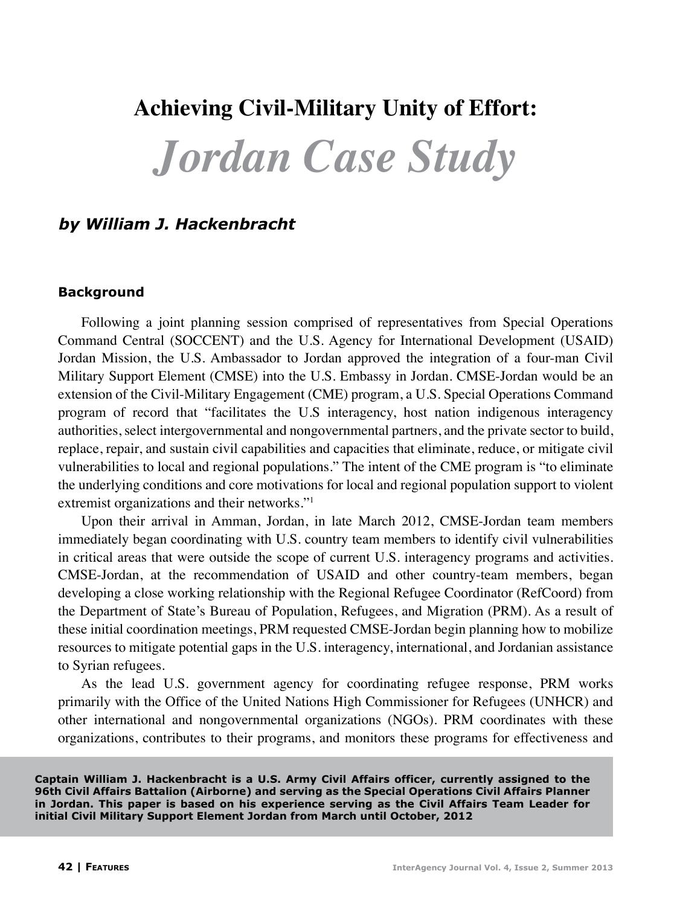## **Achieving Civil-Military Unity of Effort:**

# *Jordan Case Study*

## *by William J. Hackenbracht*

#### **Background**

Following a joint planning session comprised of representatives from Special Operations Command Central (SOCCENT) and the U.S. Agency for International Development (USAID) Jordan Mission, the U.S. Ambassador to Jordan approved the integration of a four-man Civil Military Support Element (CMSE) into the U.S. Embassy in Jordan. CMSE-Jordan would be an extension of the Civil-Military Engagement (CME) program, a U.S. Special Operations Command program of record that "facilitates the U.S interagency, host nation indigenous interagency authorities, select intergovernmental and nongovernmental partners, and the private sector to build, replace, repair, and sustain civil capabilities and capacities that eliminate, reduce, or mitigate civil vulnerabilities to local and regional populations." The intent of the CME program is "to eliminate the underlying conditions and core motivations for local and regional population support to violent extremist organizations and their networks."1

Upon their arrival in Amman, Jordan, in late March 2012, CMSE-Jordan team members immediately began coordinating with U.S. country team members to identify civil vulnerabilities in critical areas that were outside the scope of current U.S. interagency programs and activities. CMSE-Jordan, at the recommendation of USAID and other country-team members, began developing a close working relationship with the Regional Refugee Coordinator (RefCoord) from the Department of State's Bureau of Population, Refugees, and Migration (PRM). As a result of these initial coordination meetings, PRM requested CMSE-Jordan begin planning how to mobilize resources to mitigate potential gaps in the U.S. interagency, international, and Jordanian assistance to Syrian refugees.

As the lead U.S. government agency for coordinating refugee response, PRM works primarily with the Office of the United Nations High Commissioner for Refugees (UNHCR) and other international and nongovernmental organizations (NGOs). PRM coordinates with these organizations, contributes to their programs, and monitors these programs for effectiveness and

**Captain William J. Hackenbracht is a U.S. Army Civil Affairs officer, currently assigned to the 96th Civil Affairs Battalion (Airborne) and serving as the Special Operations Civil Affairs Planner in Jordan. This paper is based on his experience serving as the Civil Affairs Team Leader for initial Civil Military Support Element Jordan from March until October, 2012**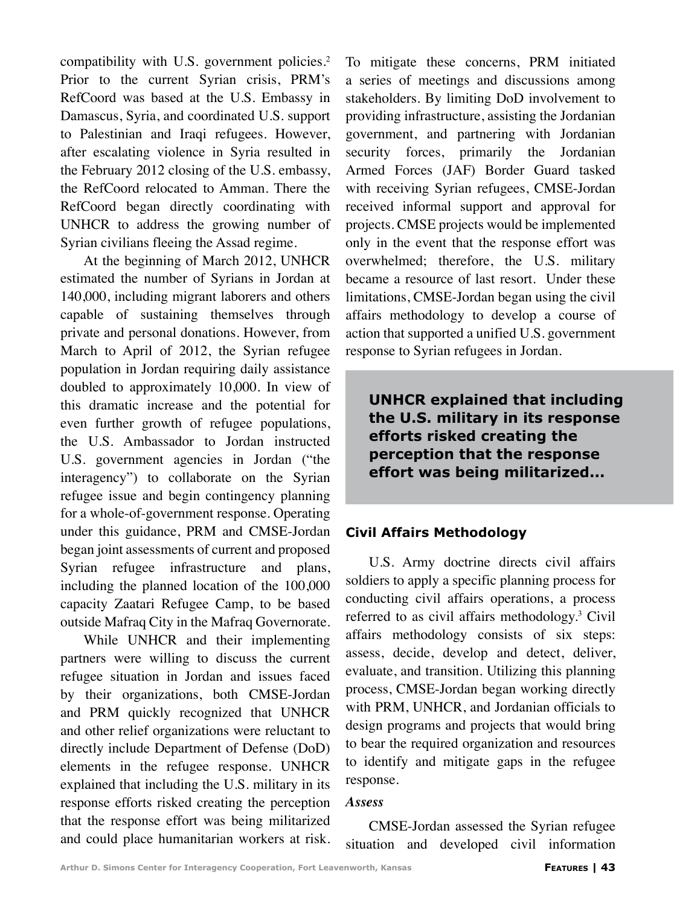compatibility with U.S. government policies.<sup>2</sup> Prior to the current Syrian crisis, PRM's RefCoord was based at the U.S. Embassy in Damascus, Syria, and coordinated U.S. support to Palestinian and Iraqi refugees. However, after escalating violence in Syria resulted in the February 2012 closing of the U.S. embassy, the RefCoord relocated to Amman. There the RefCoord began directly coordinating with UNHCR to address the growing number of Syrian civilians fleeing the Assad regime.

At the beginning of March 2012, UNHCR estimated the number of Syrians in Jordan at 140,000, including migrant laborers and others capable of sustaining themselves through private and personal donations. However, from March to April of 2012, the Syrian refugee population in Jordan requiring daily assistance doubled to approximately 10,000. In view of this dramatic increase and the potential for even further growth of refugee populations, the U.S. Ambassador to Jordan instructed U.S. government agencies in Jordan ("the interagency") to collaborate on the Syrian refugee issue and begin contingency planning for a whole-of-government response. Operating under this guidance, PRM and CMSE-Jordan began joint assessments of current and proposed Syrian refugee infrastructure and plans, including the planned location of the 100,000 capacity Zaatari Refugee Camp, to be based outside Mafraq City in the Mafraq Governorate.

While UNHCR and their implementing partners were willing to discuss the current refugee situation in Jordan and issues faced by their organizations, both CMSE-Jordan and PRM quickly recognized that UNHCR and other relief organizations were reluctant to directly include Department of Defense (DoD) elements in the refugee response. UNHCR explained that including the U.S. military in its response efforts risked creating the perception that the response effort was being militarized and could place humanitarian workers at risk. To mitigate these concerns, PRM initiated a series of meetings and discussions among stakeholders. By limiting DoD involvement to providing infrastructure, assisting the Jordanian government, and partnering with Jordanian security forces, primarily the Jordanian Armed Forces (JAF) Border Guard tasked with receiving Syrian refugees, CMSE-Jordan received informal support and approval for projects. CMSE projects would be implemented only in the event that the response effort was overwhelmed; therefore, the U.S. military became a resource of last resort. Under these limitations, CMSE-Jordan began using the civil affairs methodology to develop a course of action that supported a unified U.S. government response to Syrian refugees in Jordan.

**UNHCR explained that including the U.S. military in its response efforts risked creating the perception that the response effort was being militarized...**

## **Civil Affairs Methodology**

U.S. Army doctrine directs civil affairs soldiers to apply a specific planning process for conducting civil affairs operations, a process referred to as civil affairs methodology.<sup>3</sup> Civil affairs methodology consists of six steps: assess, decide, develop and detect, deliver, evaluate, and transition. Utilizing this planning process, CMSE-Jordan began working directly with PRM, UNHCR, and Jordanian officials to design programs and projects that would bring to bear the required organization and resources to identify and mitigate gaps in the refugee response.

#### *Assess*

CMSE-Jordan assessed the Syrian refugee situation and developed civil information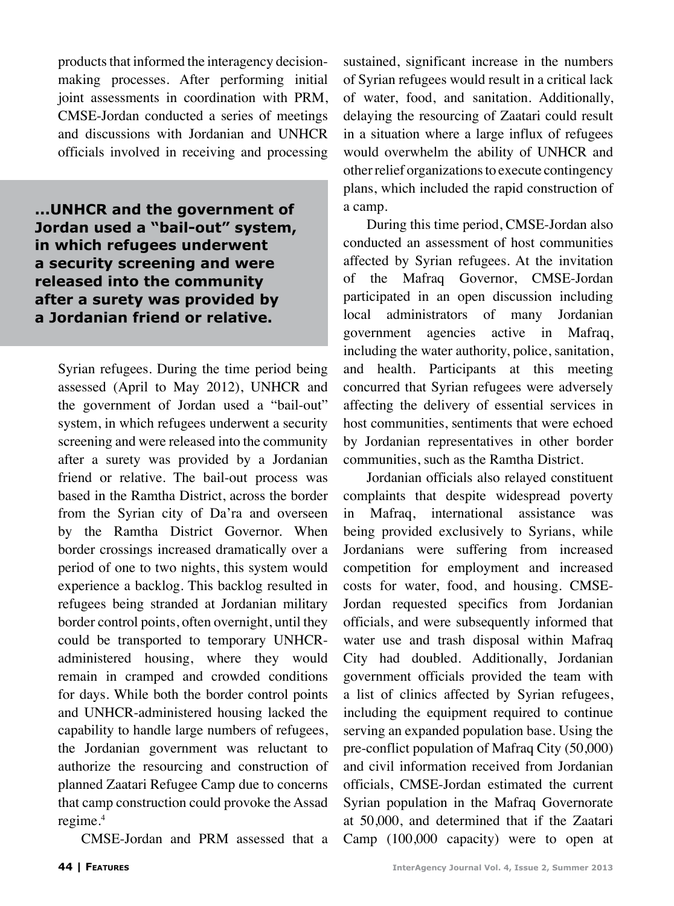products that informed the interagency decisionmaking processes. After performing initial joint assessments in coordination with PRM, CMSE-Jordan conducted a series of meetings and discussions with Jordanian and UNHCR officials involved in receiving and processing

**...UNHCR and the government of Jordan used a "bail-out" system, in which refugees underwent a security screening and were released into the community after a surety was provided by a Jordanian friend or relative.**

Syrian refugees. During the time period being assessed (April to May 2012), UNHCR and the government of Jordan used a "bail-out" system, in which refugees underwent a security screening and were released into the community after a surety was provided by a Jordanian friend or relative. The bail-out process was based in the Ramtha District, across the border from the Syrian city of Da'ra and overseen by the Ramtha District Governor. When border crossings increased dramatically over a period of one to two nights, this system would experience a backlog. This backlog resulted in refugees being stranded at Jordanian military border control points, often overnight, until they could be transported to temporary UNHCRadministered housing, where they would remain in cramped and crowded conditions for days. While both the border control points and UNHCR-administered housing lacked the capability to handle large numbers of refugees, the Jordanian government was reluctant to authorize the resourcing and construction of planned Zaatari Refugee Camp due to concerns that camp construction could provoke the Assad regime.<sup>4</sup>

CMSE-Jordan and PRM assessed that a

sustained, significant increase in the numbers of Syrian refugees would result in a critical lack of water, food, and sanitation. Additionally, delaying the resourcing of Zaatari could result in a situation where a large influx of refugees would overwhelm the ability of UNHCR and other relief organizations to execute contingency plans, which included the rapid construction of a camp.

During this time period, CMSE-Jordan also conducted an assessment of host communities affected by Syrian refugees. At the invitation of the Mafraq Governor, CMSE-Jordan participated in an open discussion including local administrators of many Jordanian government agencies active in Mafraq, including the water authority, police, sanitation, and health. Participants at this meeting concurred that Syrian refugees were adversely affecting the delivery of essential services in host communities, sentiments that were echoed by Jordanian representatives in other border communities, such as the Ramtha District.

Jordanian officials also relayed constituent complaints that despite widespread poverty in Mafraq, international assistance was being provided exclusively to Syrians, while Jordanians were suffering from increased competition for employment and increased costs for water, food, and housing. CMSE-Jordan requested specifics from Jordanian officials, and were subsequently informed that water use and trash disposal within Mafraq City had doubled. Additionally, Jordanian government officials provided the team with a list of clinics affected by Syrian refugees, including the equipment required to continue serving an expanded population base. Using the pre-conflict population of Mafraq City (50,000) and civil information received from Jordanian officials, CMSE-Jordan estimated the current Syrian population in the Mafraq Governorate at 50,000, and determined that if the Zaatari Camp (100,000 capacity) were to open at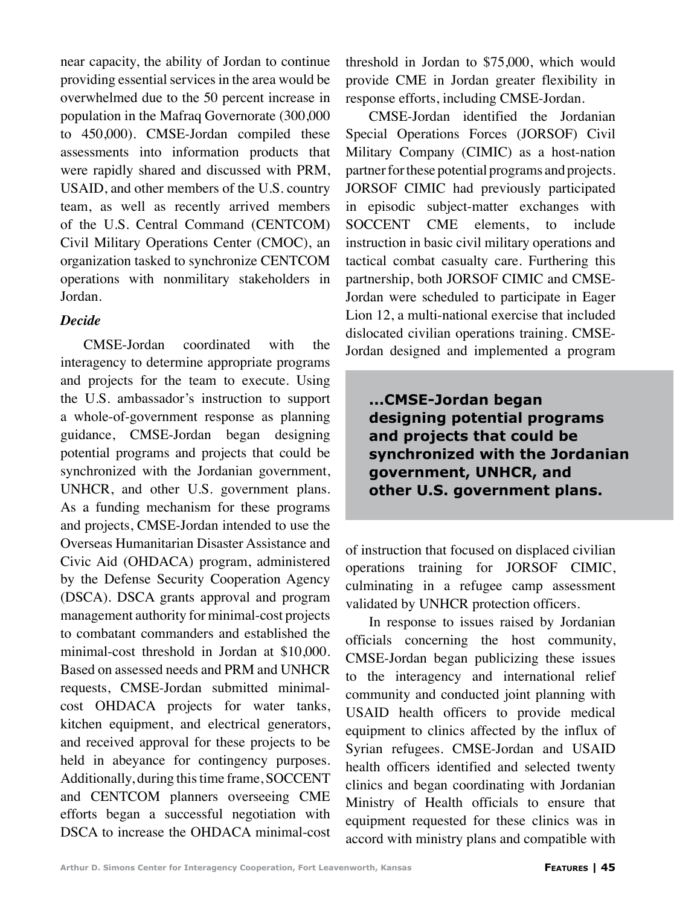near capacity, the ability of Jordan to continue providing essential services in the area would be overwhelmed due to the 50 percent increase in population in the Mafraq Governorate (300,000 to 450,000). CMSE-Jordan compiled these assessments into information products that were rapidly shared and discussed with PRM, USAID, and other members of the U.S. country team, as well as recently arrived members of the U.S. Central Command (CENTCOM) Civil Military Operations Center (CMOC), an organization tasked to synchronize CENTCOM operations with nonmilitary stakeholders in Jordan.

## *Decide*

CMSE-Jordan coordinated with the interagency to determine appropriate programs and projects for the team to execute. Using the U.S. ambassador's instruction to support a whole-of-government response as planning guidance, CMSE-Jordan began designing potential programs and projects that could be synchronized with the Jordanian government, UNHCR, and other U.S. government plans. As a funding mechanism for these programs and projects, CMSE-Jordan intended to use the Overseas Humanitarian Disaster Assistance and Civic Aid (OHDACA) program, administered by the Defense Security Cooperation Agency (DSCA). DSCA grants approval and program management authority for minimal-cost projects to combatant commanders and established the minimal-cost threshold in Jordan at \$10,000. Based on assessed needs and PRM and UNHCR requests, CMSE-Jordan submitted minimalcost OHDACA projects for water tanks, kitchen equipment, and electrical generators, and received approval for these projects to be held in abeyance for contingency purposes. Additionally, during this time frame, SOCCENT and CENTCOM planners overseeing CME efforts began a successful negotiation with DSCA to increase the OHDACA minimal-cost

threshold in Jordan to \$75,000, which would provide CME in Jordan greater flexibility in response efforts, including CMSE-Jordan.

CMSE-Jordan identified the Jordanian Special Operations Forces (JORSOF) Civil Military Company (CIMIC) as a host-nation partner for these potential programs and projects. JORSOF CIMIC had previously participated in episodic subject-matter exchanges with SOCCENT CME elements, to include instruction in basic civil military operations and tactical combat casualty care. Furthering this partnership, both JORSOF CIMIC and CMSE-Jordan were scheduled to participate in Eager Lion 12, a multi-national exercise that included dislocated civilian operations training. CMSE-Jordan designed and implemented a program

**...CMSE-Jordan began designing potential programs and projects that could be synchronized with the Jordanian government, UNHCR, and other U.S. government plans.**

of instruction that focused on displaced civilian operations training for JORSOF CIMIC, culminating in a refugee camp assessment validated by UNHCR protection officers.

In response to issues raised by Jordanian officials concerning the host community, CMSE-Jordan began publicizing these issues to the interagency and international relief community and conducted joint planning with USAID health officers to provide medical equipment to clinics affected by the influx of Syrian refugees. CMSE-Jordan and USAID health officers identified and selected twenty clinics and began coordinating with Jordanian Ministry of Health officials to ensure that equipment requested for these clinics was in accord with ministry plans and compatible with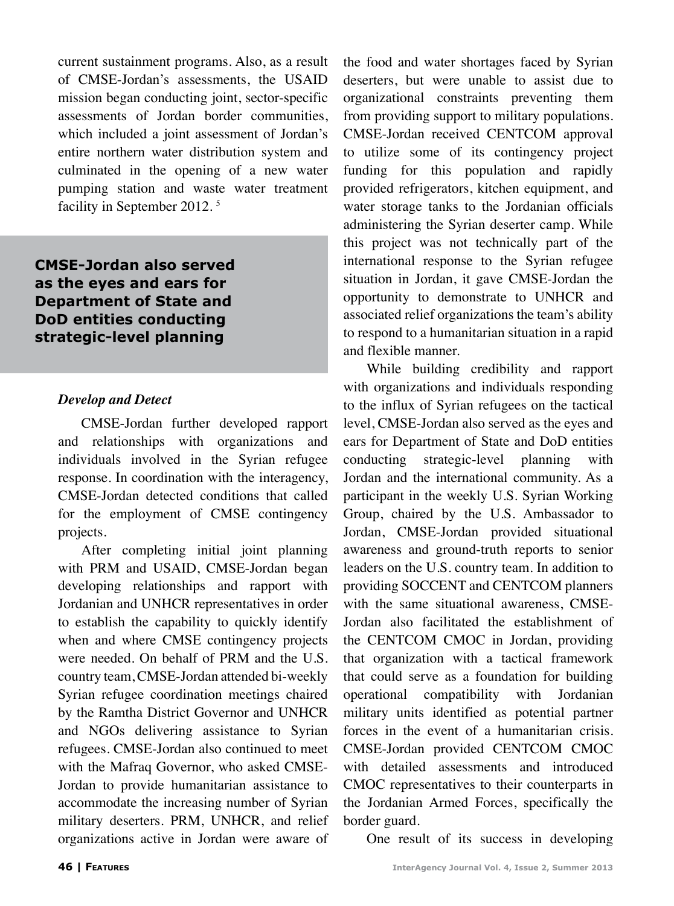current sustainment programs. Also, as a result of CMSE-Jordan's assessments, the USAID mission began conducting joint, sector-specific assessments of Jordan border communities, which included a joint assessment of Jordan's entire northern water distribution system and culminated in the opening of a new water pumping station and waste water treatment facility in September 2012.<sup>5</sup>

**CMSE-Jordan also served as the eyes and ears for Department of State and DoD entities conducting strategic-level planning**

## *Develop and Detect*

CMSE-Jordan further developed rapport and relationships with organizations and individuals involved in the Syrian refugee response. In coordination with the interagency, CMSE-Jordan detected conditions that called for the employment of CMSE contingency projects.

After completing initial joint planning with PRM and USAID, CMSE-Jordan began developing relationships and rapport with Jordanian and UNHCR representatives in order to establish the capability to quickly identify when and where CMSE contingency projects were needed. On behalf of PRM and the U.S. country team, CMSE-Jordan attended bi-weekly Syrian refugee coordination meetings chaired by the Ramtha District Governor and UNHCR and NGOs delivering assistance to Syrian refugees. CMSE-Jordan also continued to meet with the Mafraq Governor, who asked CMSE-Jordan to provide humanitarian assistance to accommodate the increasing number of Syrian military deserters. PRM, UNHCR, and relief organizations active in Jordan were aware of the food and water shortages faced by Syrian deserters, but were unable to assist due to organizational constraints preventing them from providing support to military populations. CMSE-Jordan received CENTCOM approval to utilize some of its contingency project funding for this population and rapidly provided refrigerators, kitchen equipment, and water storage tanks to the Jordanian officials administering the Syrian deserter camp. While this project was not technically part of the international response to the Syrian refugee situation in Jordan, it gave CMSE-Jordan the opportunity to demonstrate to UNHCR and associated relief organizations the team's ability to respond to a humanitarian situation in a rapid and flexible manner.

While building credibility and rapport with organizations and individuals responding to the influx of Syrian refugees on the tactical level, CMSE-Jordan also served as the eyes and ears for Department of State and DoD entities conducting strategic-level planning with Jordan and the international community. As a participant in the weekly U.S. Syrian Working Group, chaired by the U.S. Ambassador to Jordan, CMSE-Jordan provided situational awareness and ground-truth reports to senior leaders on the U.S. country team. In addition to providing SOCCENT and CENTCOM planners with the same situational awareness, CMSE-Jordan also facilitated the establishment of the CENTCOM CMOC in Jordan, providing that organization with a tactical framework that could serve as a foundation for building operational compatibility with Jordanian military units identified as potential partner forces in the event of a humanitarian crisis. CMSE-Jordan provided CENTCOM CMOC with detailed assessments and introduced CMOC representatives to their counterparts in the Jordanian Armed Forces, specifically the border guard.

One result of its success in developing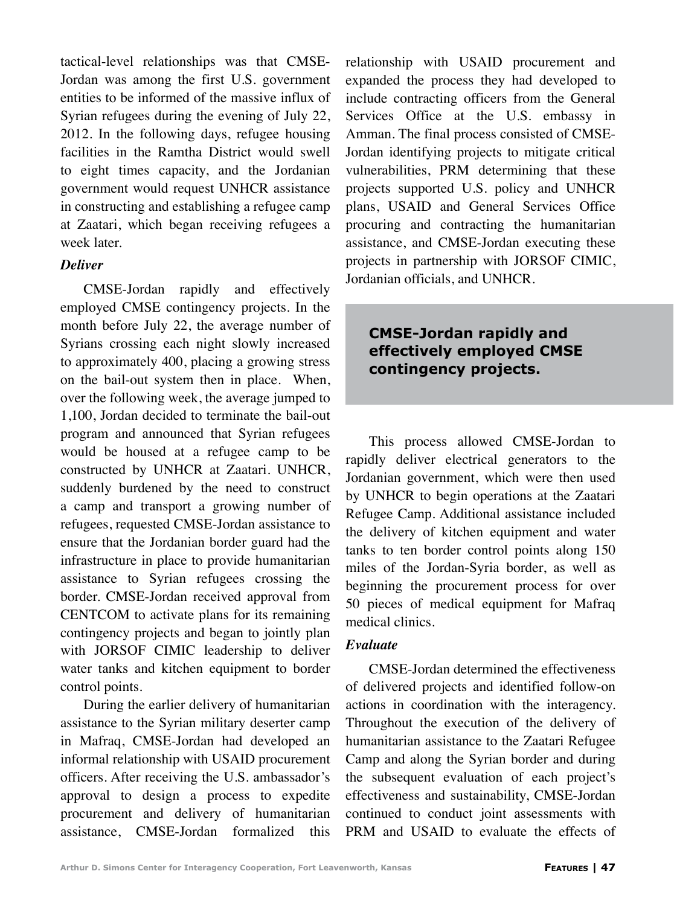tactical-level relationships was that CMSE-Jordan was among the first U.S. government entities to be informed of the massive influx of Syrian refugees during the evening of July 22, 2012. In the following days, refugee housing facilities in the Ramtha District would swell to eight times capacity, and the Jordanian government would request UNHCR assistance in constructing and establishing a refugee camp at Zaatari, which began receiving refugees a week later.

## *Deliver*

CMSE-Jordan rapidly and effectively employed CMSE contingency projects. In the month before July 22, the average number of Syrians crossing each night slowly increased to approximately 400, placing a growing stress on the bail-out system then in place. When, over the following week, the average jumped to 1,100, Jordan decided to terminate the bail-out program and announced that Syrian refugees would be housed at a refugee camp to be constructed by UNHCR at Zaatari. UNHCR, suddenly burdened by the need to construct a camp and transport a growing number of refugees, requested CMSE-Jordan assistance to ensure that the Jordanian border guard had the infrastructure in place to provide humanitarian assistance to Syrian refugees crossing the border. CMSE-Jordan received approval from CENTCOM to activate plans for its remaining contingency projects and began to jointly plan with JORSOF CIMIC leadership to deliver water tanks and kitchen equipment to border control points.

During the earlier delivery of humanitarian assistance to the Syrian military deserter camp in Mafraq, CMSE-Jordan had developed an informal relationship with USAID procurement officers. After receiving the U.S. ambassador's approval to design a process to expedite procurement and delivery of humanitarian assistance, CMSE-Jordan formalized this relationship with USAID procurement and expanded the process they had developed to include contracting officers from the General Services Office at the U.S. embassy in Amman. The final process consisted of CMSE-Jordan identifying projects to mitigate critical vulnerabilities, PRM determining that these projects supported U.S. policy and UNHCR plans, USAID and General Services Office procuring and contracting the humanitarian assistance, and CMSE-Jordan executing these projects in partnership with JORSOF CIMIC, Jordanian officials, and UNHCR.

## **CMSE-Jordan rapidly and effectively employed CMSE contingency projects.**

This process allowed CMSE-Jordan to rapidly deliver electrical generators to the Jordanian government, which were then used by UNHCR to begin operations at the Zaatari Refugee Camp. Additional assistance included the delivery of kitchen equipment and water tanks to ten border control points along 150 miles of the Jordan-Syria border, as well as beginning the procurement process for over 50 pieces of medical equipment for Mafraq medical clinics.

## *Evaluate*

CMSE-Jordan determined the effectiveness of delivered projects and identified follow-on actions in coordination with the interagency. Throughout the execution of the delivery of humanitarian assistance to the Zaatari Refugee Camp and along the Syrian border and during the subsequent evaluation of each project's effectiveness and sustainability, CMSE-Jordan continued to conduct joint assessments with PRM and USAID to evaluate the effects of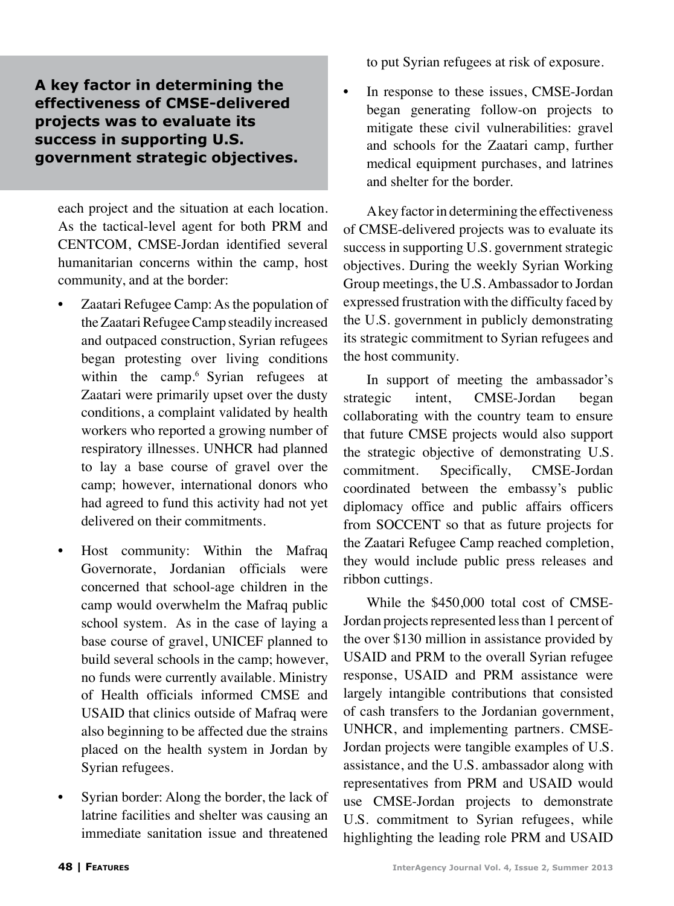## **A key factor in determining the effectiveness of CMSE-delivered projects was to evaluate its success in supporting U.S. government strategic objectives.**

each project and the situation at each location. As the tactical-level agent for both PRM and CENTCOM, CMSE-Jordan identified several humanitarian concerns within the camp, host community, and at the border:

- Zaatari Refugee Camp: As the population of the Zaatari Refugee Camp steadily increased and outpaced construction, Syrian refugees began protesting over living conditions within the camp.<sup>6</sup> Syrian refugees at Zaatari were primarily upset over the dusty conditions, a complaint validated by health workers who reported a growing number of respiratory illnesses. UNHCR had planned to lay a base course of gravel over the camp; however, international donors who had agreed to fund this activity had not yet delivered on their commitments.
- Host community: Within the Mafraq Governorate, Jordanian officials were concerned that school-age children in the camp would overwhelm the Mafraq public school system. As in the case of laying a base course of gravel, UNICEF planned to build several schools in the camp; however, no funds were currently available. Ministry of Health officials informed CMSE and USAID that clinics outside of Mafraq were also beginning to be affected due the strains placed on the health system in Jordan by Syrian refugees.
- Syrian border: Along the border, the lack of latrine facilities and shelter was causing an immediate sanitation issue and threatened

to put Syrian refugees at risk of exposure.

• In response to these issues, CMSE-Jordan began generating follow-on projects to mitigate these civil vulnerabilities: gravel and schools for the Zaatari camp, further medical equipment purchases, and latrines and shelter for the border.

A key factor in determining the effectiveness of CMSE-delivered projects was to evaluate its success in supporting U.S. government strategic objectives. During the weekly Syrian Working Group meetings, the U.S. Ambassador to Jordan expressed frustration with the difficulty faced by the U.S. government in publicly demonstrating its strategic commitment to Syrian refugees and the host community.

In support of meeting the ambassador's strategic intent, CMSE-Jordan began collaborating with the country team to ensure that future CMSE projects would also support the strategic objective of demonstrating U.S. commitment. Specifically, CMSE-Jordan coordinated between the embassy's public diplomacy office and public affairs officers from SOCCENT so that as future projects for the Zaatari Refugee Camp reached completion, they would include public press releases and ribbon cuttings.

While the \$450,000 total cost of CMSE-Jordan projects represented less than 1 percent of the over \$130 million in assistance provided by USAID and PRM to the overall Syrian refugee response, USAID and PRM assistance were largely intangible contributions that consisted of cash transfers to the Jordanian government, UNHCR, and implementing partners. CMSE-Jordan projects were tangible examples of U.S. assistance, and the U.S. ambassador along with representatives from PRM and USAID would use CMSE-Jordan projects to demonstrate U.S. commitment to Syrian refugees, while highlighting the leading role PRM and USAID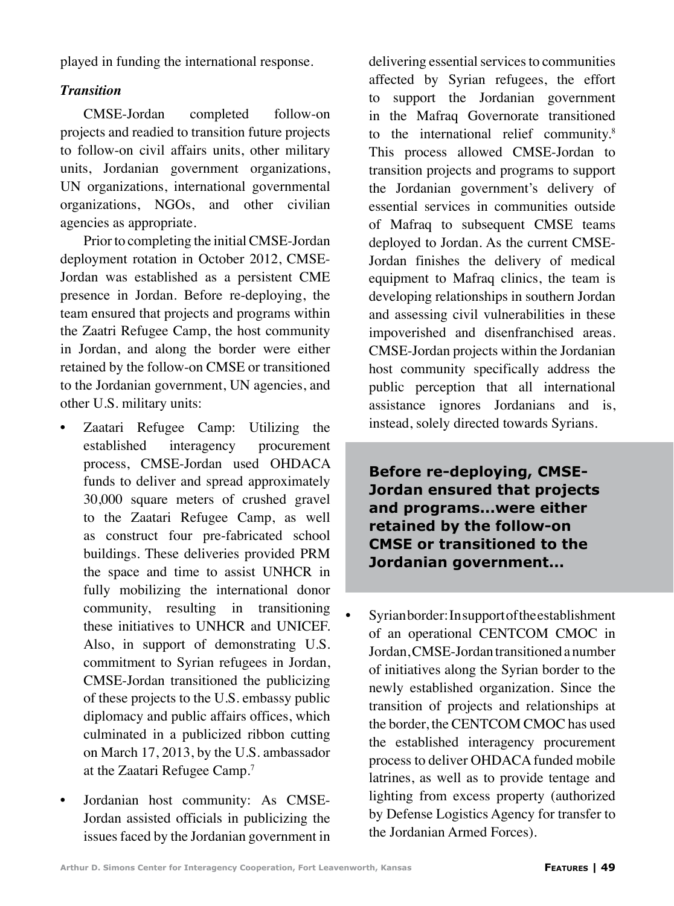played in funding the international response.

## *Transition*

CMSE-Jordan completed follow-on projects and readied to transition future projects to follow-on civil affairs units, other military units, Jordanian government organizations, UN organizations, international governmental organizations, NGOs, and other civilian agencies as appropriate.

Prior to completing the initial CMSE-Jordan deployment rotation in October 2012, CMSE-Jordan was established as a persistent CME presence in Jordan. Before re-deploying, the team ensured that projects and programs within the Zaatri Refugee Camp, the host community in Jordan, and along the border were either retained by the follow-on CMSE or transitioned to the Jordanian government, UN agencies, and other U.S. military units:

- Zaatari Refugee Camp: Utilizing the established interagency procurement process, CMSE-Jordan used OHDACA funds to deliver and spread approximately 30,000 square meters of crushed gravel to the Zaatari Refugee Camp, as well as construct four pre-fabricated school buildings. These deliveries provided PRM the space and time to assist UNHCR in fully mobilizing the international donor community, resulting in transitioning these initiatives to UNHCR and UNICEF. Also, in support of demonstrating U.S. commitment to Syrian refugees in Jordan, CMSE-Jordan transitioned the publicizing of these projects to the U.S. embassy public diplomacy and public affairs offices, which culminated in a publicized ribbon cutting on March 17, 2013, by the U.S. ambassador at the Zaatari Refugee Camp.<sup>7</sup>
- Jordanian host community: As CMSE-Jordan assisted officials in publicizing the issues faced by the Jordanian government in

delivering essential services to communities affected by Syrian refugees, the effort to support the Jordanian government in the Mafraq Governorate transitioned to the international relief community.<sup>8</sup> This process allowed CMSE-Jordan to transition projects and programs to support the Jordanian government's delivery of essential services in communities outside of Mafraq to subsequent CMSE teams deployed to Jordan. As the current CMSE-Jordan finishes the delivery of medical equipment to Mafraq clinics, the team is developing relationships in southern Jordan and assessing civil vulnerabilities in these impoverished and disenfranchised areas. CMSE-Jordan projects within the Jordanian host community specifically address the public perception that all international assistance ignores Jordanians and is, instead, solely directed towards Syrians.

**Before re-deploying, CMSE-Jordan ensured that projects and programs...were either retained by the follow-on CMSE or transitioned to the Jordanian government...**

Syrian border: In support of the establishment of an operational CENTCOM CMOC in Jordan, CMSE-Jordan transitioned a number of initiatives along the Syrian border to the newly established organization. Since the transition of projects and relationships at the border, the CENTCOM CMOC has used the established interagency procurement process to deliver OHDACA funded mobile latrines, as well as to provide tentage and lighting from excess property (authorized by Defense Logistics Agency for transfer to the Jordanian Armed Forces).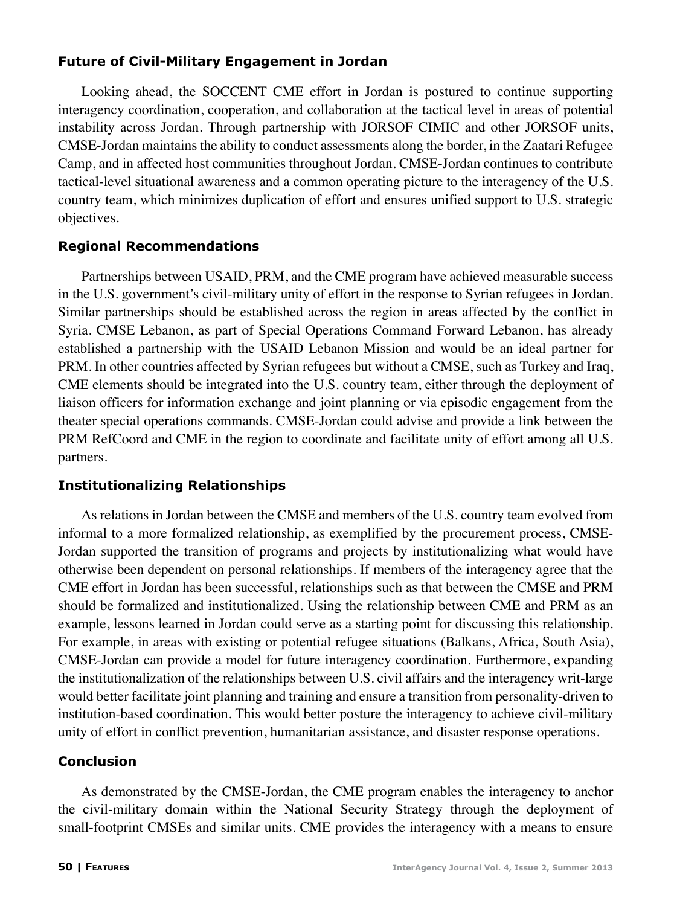## **Future of Civil-Military Engagement in Jordan**

Looking ahead, the SOCCENT CME effort in Jordan is postured to continue supporting interagency coordination, cooperation, and collaboration at the tactical level in areas of potential instability across Jordan. Through partnership with JORSOF CIMIC and other JORSOF units, CMSE-Jordan maintains the ability to conduct assessments along the border, in the Zaatari Refugee Camp, and in affected host communities throughout Jordan. CMSE-Jordan continues to contribute tactical-level situational awareness and a common operating picture to the interagency of the U.S. country team, which minimizes duplication of effort and ensures unified support to U.S. strategic objectives.

## **Regional Recommendations**

Partnerships between USAID, PRM, and the CME program have achieved measurable success in the U.S. government's civil-military unity of effort in the response to Syrian refugees in Jordan. Similar partnerships should be established across the region in areas affected by the conflict in Syria. CMSE Lebanon, as part of Special Operations Command Forward Lebanon, has already established a partnership with the USAID Lebanon Mission and would be an ideal partner for PRM. In other countries affected by Syrian refugees but without a CMSE, such as Turkey and Iraq, CME elements should be integrated into the U.S. country team, either through the deployment of liaison officers for information exchange and joint planning or via episodic engagement from the theater special operations commands. CMSE-Jordan could advise and provide a link between the PRM RefCoord and CME in the region to coordinate and facilitate unity of effort among all U.S. partners.

## **Institutionalizing Relationships**

As relations in Jordan between the CMSE and members of the U.S. country team evolved from informal to a more formalized relationship, as exemplified by the procurement process, CMSE-Jordan supported the transition of programs and projects by institutionalizing what would have otherwise been dependent on personal relationships. If members of the interagency agree that the CME effort in Jordan has been successful, relationships such as that between the CMSE and PRM should be formalized and institutionalized. Using the relationship between CME and PRM as an example, lessons learned in Jordan could serve as a starting point for discussing this relationship. For example, in areas with existing or potential refugee situations (Balkans, Africa, South Asia), CMSE-Jordan can provide a model for future interagency coordination. Furthermore, expanding the institutionalization of the relationships between U.S. civil affairs and the interagency writ-large would better facilitate joint planning and training and ensure a transition from personality-driven to institution-based coordination. This would better posture the interagency to achieve civil-military unity of effort in conflict prevention, humanitarian assistance, and disaster response operations.

## **Conclusion**

As demonstrated by the CMSE-Jordan, the CME program enables the interagency to anchor the civil-military domain within the National Security Strategy through the deployment of small-footprint CMSEs and similar units. CME provides the interagency with a means to ensure